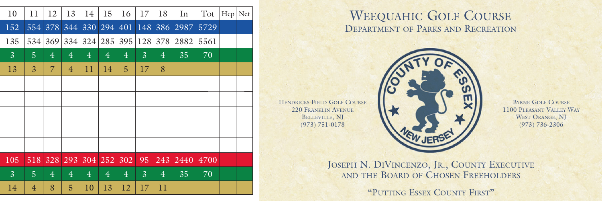| 10             | 11             | 12             | 13             | 14             | 15             | 16             | 17             | 18               | In   | Tot  | Hcp | Net |
|----------------|----------------|----------------|----------------|----------------|----------------|----------------|----------------|------------------|------|------|-----|-----|
| 152            | 554            | 378            | 344            | 330            |                | 294 401        | 148            | 386              | 2987 | 5729 |     |     |
| 135            | 534            | 369            | 334            | 324            | 285            | 395            | 128            | 378              | 2882 | 5561 |     |     |
| $\mathbf{3}$   | $\overline{5}$ | $\overline{4}$ | $\overline{4}$ | $\overline{4}$ | $\overline{4}$ | $\overline{4}$ | $\overline{3}$ | $\overline{4}$   | 35   | 70   |     |     |
| 13             | $\overline{3}$ | $\overline{7}$ | $\overline{4}$ | 11             | 14             | 5              | 17             | 8                |      |      |     |     |
|                |                |                |                |                |                |                |                |                  |      |      |     |     |
|                |                |                |                |                |                |                |                |                  |      |      |     |     |
|                |                |                |                |                |                |                |                |                  |      |      |     |     |
|                |                |                |                |                |                |                |                |                  |      |      |     |     |
|                |                |                |                |                |                |                |                |                  |      |      |     |     |
| 105            | 518            | 328            | 293            | 304            | 252            | 302            | 95             | $\overline{243}$ | 2440 | 4700 |     |     |
| $\overline{3}$ | $\overline{5}$ | $\overline{4}$ | $\overline{4}$ | $\overline{4}$ | $\overline{4}$ | $\overline{4}$ | $\overline{3}$ | $\overline{4}$   | 35   | 70   |     |     |
| 14             | $\overline{4}$ | 8              | 5              | 10             | 13             | 12             | 17             | 11               |      |      |     |     |
|                |                |                |                |                |                |                |                |                  |      |      |     |     |

## WEEQUAHIC GOLF COURSE DEPARTMENT OF PARKS AND RECREATION



220 FRANKLIN AVENUE BELLEVILLE, NJ (973) 751-0178

BYRNE GOLF COURSE 1100 PLEASANT VALLEY WAY WEST ORANGE, NJ (973) 736-2306

JOSEPH N. DIVINCENZO, JR., COUNTY EXECUTIVE AND THE BOARD OF CHOSEN FREEHOLDERS

"PUTTING ESSEX COUNTY FIRST"